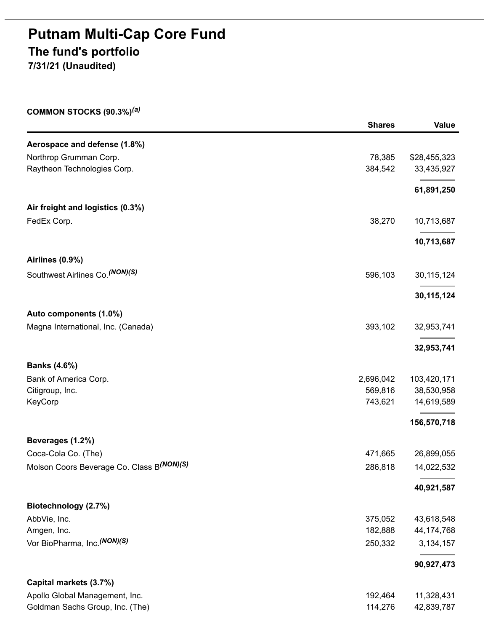# **Putnam Multi-Cap Core Fund The fund's portfolio**

**7/31/21 (Unaudited)**

**COMMON STOCKS (90.3%)** *(a)*

|                                           | <b>Shares</b> | <b>Value</b> |
|-------------------------------------------|---------------|--------------|
| Aerospace and defense (1.8%)              |               |              |
| Northrop Grumman Corp.                    | 78,385        | \$28,455,323 |
| Raytheon Technologies Corp.               | 384,542       | 33,435,927   |
|                                           |               | 61,891,250   |
| Air freight and logistics (0.3%)          |               |              |
| FedEx Corp.                               | 38,270        | 10,713,687   |
|                                           |               | 10,713,687   |
| Airlines (0.9%)                           |               |              |
| Southwest Airlines Co. (NON)(S)           | 596,103       | 30, 115, 124 |
|                                           |               | 30, 115, 124 |
| Auto components (1.0%)                    |               |              |
| Magna International, Inc. (Canada)        | 393,102       | 32,953,741   |
|                                           |               | 32,953,741   |
| <b>Banks (4.6%)</b>                       |               |              |
| Bank of America Corp.                     | 2,696,042     | 103,420,171  |
| Citigroup, Inc.                           | 569,816       | 38,530,958   |
| KeyCorp                                   | 743,621       | 14,619,589   |
|                                           |               | 156,570,718  |
| Beverages (1.2%)                          |               |              |
| Coca-Cola Co. (The)                       | 471,665       | 26,899,055   |
| Molson Coors Beverage Co. Class B(NON)(S) | 286,818       | 14,022,532   |
|                                           |               | 40,921,587   |
| Biotechnology (2.7%)                      |               |              |
| AbbVie, Inc.                              | 375,052       | 43,618,548   |
| Amgen, Inc.                               | 182,888       | 44, 174, 768 |
| Vor BioPharma, Inc. (NON)(S)              | 250,332       | 3, 134, 157  |
|                                           |               | 90,927,473   |
| Capital markets (3.7%)                    |               |              |
| Apollo Global Management, Inc.            | 192,464       | 11,328,431   |
| Goldman Sachs Group, Inc. (The)           | 114,276       | 42,839,787   |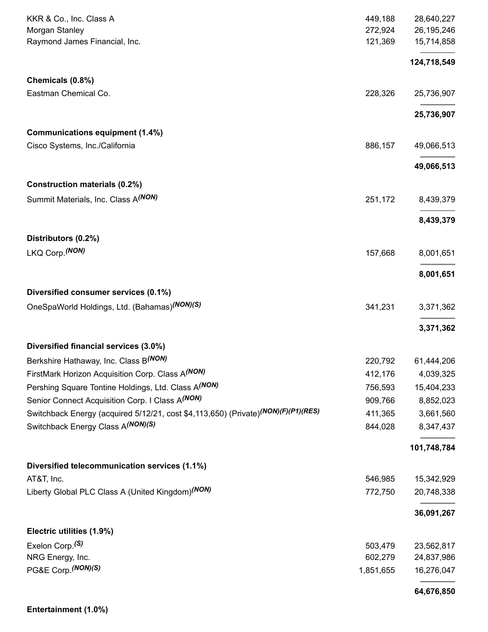| KKR & Co., Inc. Class A                                                           | 449,188   | 28,640,227   |
|-----------------------------------------------------------------------------------|-----------|--------------|
| Morgan Stanley                                                                    | 272,924   | 26, 195, 246 |
| Raymond James Financial, Inc.                                                     | 121,369   | 15,714,858   |
|                                                                                   |           | 124,718,549  |
| Chemicals (0.8%)                                                                  |           |              |
| Eastman Chemical Co.                                                              | 228,326   | 25,736,907   |
|                                                                                   |           | 25,736,907   |
| <b>Communications equipment (1.4%)</b>                                            |           |              |
| Cisco Systems, Inc./California                                                    | 886,157   | 49,066,513   |
|                                                                                   |           | 49,066,513   |
| <b>Construction materials (0.2%)</b>                                              |           |              |
| Summit Materials, Inc. Class A(NON)                                               | 251,172   | 8,439,379    |
|                                                                                   |           | 8,439,379    |
| Distributors (0.2%)                                                               |           |              |
| LKQ Corp. (NON)                                                                   | 157,668   | 8,001,651    |
|                                                                                   |           | 8,001,651    |
| Diversified consumer services (0.1%)                                              |           |              |
| OneSpaWorld Holdings, Ltd. (Bahamas) <sup>(NON)(S)</sup>                          | 341,231   | 3,371,362    |
|                                                                                   |           | 3,371,362    |
| Diversified financial services (3.0%)                                             |           |              |
| Berkshire Hathaway, Inc. Class B(NON)                                             | 220,792   | 61,444,206   |
| FirstMark Horizon Acquisition Corp. Class A(NON)                                  | 412,176   | 4,039,325    |
| Pershing Square Tontine Holdings, Ltd. Class A(NON)                               | 756,593   | 15,404,233   |
| Senior Connect Acquisition Corp. I Class A(NON)                                   | 909,766   | 8,852,023    |
| Switchback Energy (acquired 5/12/21, cost \$4,113,650) (Private)(NON)(F)(P1)(RES) | 411,365   | 3,661,560    |
| Switchback Energy Class A(NON)(S)                                                 | 844,028   | 8,347,437    |
|                                                                                   |           | 101,748,784  |
| Diversified telecommunication services (1.1%)                                     |           |              |
| AT&T, Inc.                                                                        | 546,985   | 15,342,929   |
| Liberty Global PLC Class A (United Kingdom)(NON)                                  | 772,750   | 20,748,338   |
|                                                                                   |           | 36,091,267   |
| Electric utilities (1.9%)                                                         |           |              |
| Exelon Corp. <sup>(S)</sup>                                                       | 503,479   | 23,562,817   |
| NRG Energy, Inc.                                                                  | 602,279   | 24,837,986   |
| PG&E Corp. (NON)(S)                                                               | 1,851,655 | 16,276,047   |
|                                                                                   |           | 64,676,850   |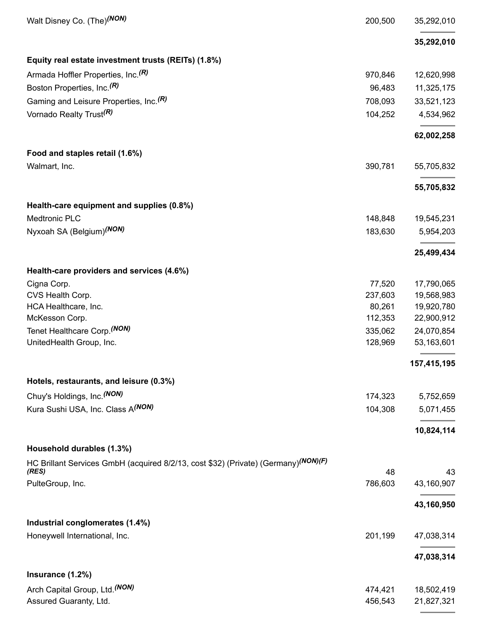| Walt Disney Co. (The)(NON)                                                                               | 200,500 | 35,292,010  |
|----------------------------------------------------------------------------------------------------------|---------|-------------|
|                                                                                                          |         | 35,292,010  |
| Equity real estate investment trusts (REITs) (1.8%)                                                      |         |             |
| Armada Hoffler Properties, Inc. <sup>(R)</sup>                                                           | 970,846 | 12,620,998  |
| Boston Properties, Inc. <sup>(R)</sup>                                                                   | 96,483  | 11,325,175  |
| Gaming and Leisure Properties, Inc. <sup>(R)</sup>                                                       | 708,093 | 33,521,123  |
| Vornado Realty Trust <sup>(R)</sup>                                                                      | 104,252 | 4,534,962   |
|                                                                                                          |         | 62,002,258  |
| Food and staples retail (1.6%)                                                                           |         |             |
| Walmart, Inc.                                                                                            | 390,781 | 55,705,832  |
|                                                                                                          |         | 55,705,832  |
| Health-care equipment and supplies (0.8%)                                                                |         |             |
| Medtronic PLC                                                                                            | 148,848 | 19,545,231  |
| Nyxoah SA (Belgium) <sup>(NON)</sup>                                                                     | 183,630 | 5,954,203   |
|                                                                                                          |         | 25,499,434  |
| Health-care providers and services (4.6%)                                                                |         |             |
| Cigna Corp.                                                                                              | 77,520  | 17,790,065  |
| CVS Health Corp.                                                                                         | 237,603 | 19,568,983  |
| HCA Healthcare, Inc.                                                                                     | 80,261  | 19,920,780  |
| McKesson Corp.                                                                                           | 112,353 | 22,900,912  |
| Tenet Healthcare Corp. (NON)                                                                             | 335,062 | 24,070,854  |
| UnitedHealth Group, Inc.                                                                                 | 128,969 | 53,163,601  |
|                                                                                                          |         | 157,415,195 |
| Hotels, restaurants, and leisure (0.3%)                                                                  |         |             |
| Chuy's Holdings, Inc. (NON)                                                                              | 174,323 | 5,752,659   |
| Kura Sushi USA, Inc. Class A(NON)                                                                        | 104,308 | 5,071,455   |
|                                                                                                          |         | 10,824,114  |
| Household durables (1.3%)                                                                                |         |             |
| HC Brillant Services GmbH (acquired 8/2/13, cost \$32) (Private) (Germany) <sup>(NON)</sup> (F)<br>(RES) | 48      | 43          |
| PulteGroup, Inc.                                                                                         | 786,603 | 43,160,907  |
|                                                                                                          |         | 43,160,950  |
| Industrial conglomerates (1.4%)                                                                          |         |             |
| Honeywell International, Inc.                                                                            | 201,199 | 47,038,314  |
|                                                                                                          |         |             |
|                                                                                                          |         | 47,038,314  |
| Insurance (1.2%)                                                                                         |         |             |
| Arch Capital Group, Ltd. (NON)                                                                           | 474,421 | 18,502,419  |
| Assured Guaranty, Ltd.                                                                                   | 456,543 | 21,827,321  |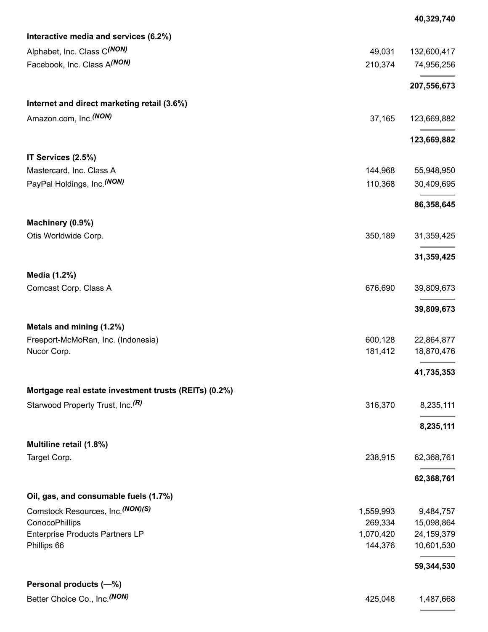| Alphabet, Inc. Class C(NON)<br>49,031<br>Facebook, Inc. Class A(NON)<br>210,374<br>Internet and direct marketing retail (3.6%)<br>Amazon.com, Inc. <sup>(NON)</sup><br>37,165<br>IT Services (2.5%)<br>Mastercard, Inc. Class A<br>144,968<br>PayPal Holdings, Inc. (NON)<br>110,368<br>Machinery (0.9%)<br>Otis Worldwide Corp.<br>350,189<br>Media (1.2%)<br>676,690<br>Comcast Corp. Class A<br>Metals and mining (1.2%)<br>Freeport-McMoRan, Inc. (Indonesia)<br>600,128<br>181,412<br>18,870,476<br>Nucor Corp.<br>Mortgage real estate investment trusts (REITs) (0.2%)<br>Starwood Property Trust, Inc. <sup>(R)</sup><br>316,370 | Interactive media and services (6.2%) |              |
|------------------------------------------------------------------------------------------------------------------------------------------------------------------------------------------------------------------------------------------------------------------------------------------------------------------------------------------------------------------------------------------------------------------------------------------------------------------------------------------------------------------------------------------------------------------------------------------------------------------------------------------|---------------------------------------|--------------|
|                                                                                                                                                                                                                                                                                                                                                                                                                                                                                                                                                                                                                                          |                                       | 132,600,417  |
|                                                                                                                                                                                                                                                                                                                                                                                                                                                                                                                                                                                                                                          |                                       | 74,956,256   |
|                                                                                                                                                                                                                                                                                                                                                                                                                                                                                                                                                                                                                                          |                                       | 207,556,673  |
|                                                                                                                                                                                                                                                                                                                                                                                                                                                                                                                                                                                                                                          |                                       |              |
|                                                                                                                                                                                                                                                                                                                                                                                                                                                                                                                                                                                                                                          |                                       | 123,669,882  |
|                                                                                                                                                                                                                                                                                                                                                                                                                                                                                                                                                                                                                                          |                                       | 123,669,882  |
|                                                                                                                                                                                                                                                                                                                                                                                                                                                                                                                                                                                                                                          |                                       |              |
|                                                                                                                                                                                                                                                                                                                                                                                                                                                                                                                                                                                                                                          |                                       | 55,948,950   |
|                                                                                                                                                                                                                                                                                                                                                                                                                                                                                                                                                                                                                                          |                                       | 30,409,695   |
|                                                                                                                                                                                                                                                                                                                                                                                                                                                                                                                                                                                                                                          |                                       | 86,358,645   |
|                                                                                                                                                                                                                                                                                                                                                                                                                                                                                                                                                                                                                                          |                                       |              |
|                                                                                                                                                                                                                                                                                                                                                                                                                                                                                                                                                                                                                                          |                                       | 31,359,425   |
|                                                                                                                                                                                                                                                                                                                                                                                                                                                                                                                                                                                                                                          |                                       | 31,359,425   |
|                                                                                                                                                                                                                                                                                                                                                                                                                                                                                                                                                                                                                                          |                                       |              |
|                                                                                                                                                                                                                                                                                                                                                                                                                                                                                                                                                                                                                                          |                                       | 39,809,673   |
|                                                                                                                                                                                                                                                                                                                                                                                                                                                                                                                                                                                                                                          |                                       | 39,809,673   |
|                                                                                                                                                                                                                                                                                                                                                                                                                                                                                                                                                                                                                                          |                                       |              |
|                                                                                                                                                                                                                                                                                                                                                                                                                                                                                                                                                                                                                                          |                                       | 22,864,877   |
|                                                                                                                                                                                                                                                                                                                                                                                                                                                                                                                                                                                                                                          |                                       |              |
|                                                                                                                                                                                                                                                                                                                                                                                                                                                                                                                                                                                                                                          |                                       | 41,735,353   |
|                                                                                                                                                                                                                                                                                                                                                                                                                                                                                                                                                                                                                                          |                                       |              |
|                                                                                                                                                                                                                                                                                                                                                                                                                                                                                                                                                                                                                                          |                                       | 8,235,111    |
|                                                                                                                                                                                                                                                                                                                                                                                                                                                                                                                                                                                                                                          |                                       | 8,235,111    |
| Multiline retail (1.8%)                                                                                                                                                                                                                                                                                                                                                                                                                                                                                                                                                                                                                  |                                       |              |
| Target Corp.<br>238,915                                                                                                                                                                                                                                                                                                                                                                                                                                                                                                                                                                                                                  |                                       | 62,368,761   |
|                                                                                                                                                                                                                                                                                                                                                                                                                                                                                                                                                                                                                                          |                                       | 62,368,761   |
| Oil, gas, and consumable fuels (1.7%)                                                                                                                                                                                                                                                                                                                                                                                                                                                                                                                                                                                                    |                                       |              |
| Comstock Resources, Inc. (NON)(S)<br>1,559,993                                                                                                                                                                                                                                                                                                                                                                                                                                                                                                                                                                                           |                                       | 9,484,757    |
| ConocoPhillips<br>269,334                                                                                                                                                                                                                                                                                                                                                                                                                                                                                                                                                                                                                |                                       | 15,098,864   |
| 1,070,420<br><b>Enterprise Products Partners LP</b>                                                                                                                                                                                                                                                                                                                                                                                                                                                                                                                                                                                      |                                       | 24, 159, 379 |
| Phillips 66<br>144,376                                                                                                                                                                                                                                                                                                                                                                                                                                                                                                                                                                                                                   |                                       | 10,601,530   |
|                                                                                                                                                                                                                                                                                                                                                                                                                                                                                                                                                                                                                                          |                                       | 59,344,530   |
| Personal products (-%)                                                                                                                                                                                                                                                                                                                                                                                                                                                                                                                                                                                                                   |                                       |              |
| Better Choice Co., Inc. (NON)<br>425,048                                                                                                                                                                                                                                                                                                                                                                                                                                                                                                                                                                                                 |                                       | 1,487,668    |

**40,329,740**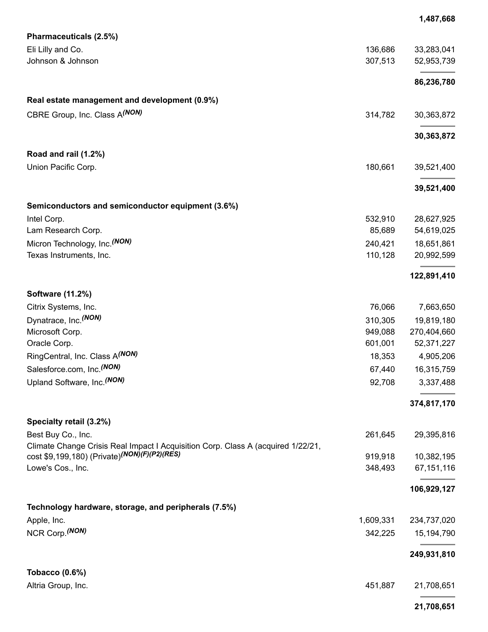|                                                                                  |           | 1,487,668   |
|----------------------------------------------------------------------------------|-----------|-------------|
| Pharmaceuticals (2.5%)                                                           |           |             |
| Eli Lilly and Co.                                                                | 136,686   | 33,283,041  |
| Johnson & Johnson                                                                | 307,513   | 52,953,739  |
|                                                                                  |           |             |
|                                                                                  |           | 86,236,780  |
| Real estate management and development (0.9%)                                    |           |             |
| CBRE Group, Inc. Class A(NON)                                                    |           |             |
|                                                                                  | 314,782   | 30,363,872  |
|                                                                                  |           | 30,363,872  |
|                                                                                  |           |             |
| Road and rail (1.2%)                                                             |           |             |
| Union Pacific Corp.                                                              | 180,661   | 39,521,400  |
|                                                                                  |           | 39,521,400  |
|                                                                                  |           |             |
| Semiconductors and semiconductor equipment (3.6%)                                |           |             |
| Intel Corp.                                                                      | 532,910   | 28,627,925  |
| Lam Research Corp.                                                               | 85,689    | 54,619,025  |
| Micron Technology, Inc. (NON)                                                    | 240,421   | 18,651,861  |
| Texas Instruments, Inc.                                                          | 110,128   | 20,992,599  |
|                                                                                  |           | 122,891,410 |
|                                                                                  |           |             |
| <b>Software (11.2%)</b>                                                          |           |             |
| Citrix Systems, Inc.                                                             | 76,066    | 7,663,650   |
| Dynatrace, Inc. (NON)                                                            | 310,305   | 19,819,180  |
| Microsoft Corp.<br>Oracle Corp.                                                  | 949,088   | 270,404,660 |
|                                                                                  | 601,001   | 52,371,227  |
| RingCentral, Inc. Class A(NON)                                                   | 18,353    | 4,905,206   |
| Salesforce.com, Inc. <sup>(NON)</sup>                                            | 67,440    | 16,315,759  |
| Upland Software, Inc. (NON)                                                      | 92,708    | 3,337,488   |
|                                                                                  |           | 374,817,170 |
| Specialty retail (3.2%)                                                          |           |             |
| Best Buy Co., Inc.                                                               | 261,645   | 29,395,816  |
| Climate Change Crisis Real Impact I Acquisition Corp. Class A (acquired 1/22/21, |           |             |
| cost \$9,199,180) (Private) <sup>(NON)</sup> (F)(P2)(RES)                        | 919,918   | 10,382,195  |
| Lowe's Cos., Inc.                                                                | 348,493   | 67,151,116  |
|                                                                                  |           |             |
|                                                                                  |           | 106,929,127 |
| Technology hardware, storage, and peripherals (7.5%)                             |           |             |
| Apple, Inc.                                                                      | 1,609,331 | 234,737,020 |
| NCR Corp. (NON)                                                                  | 342,225   | 15,194,790  |
|                                                                                  |           | 249,931,810 |
| Tobacco $(0.6\%)$                                                                |           |             |
| Altria Group, Inc.                                                               | 451,887   | 21,708,651  |
|                                                                                  |           |             |
|                                                                                  |           | 21,708,651  |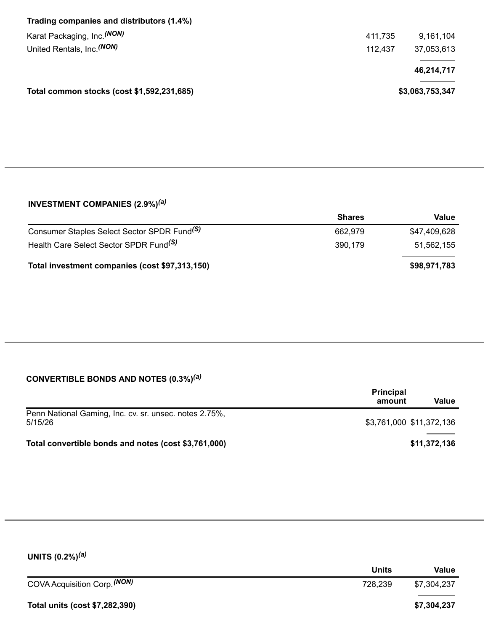| Trading companies and distributors (1.4%)  |         |                 |
|--------------------------------------------|---------|-----------------|
| Karat Packaging, Inc. <sup>(NON)</sup>     | 411,735 | 9,161,104       |
| United Rentals, Inc. (NON)                 | 112,437 | 37,053,613      |
|                                            |         | 46,214,717      |
| Total common stocks (cost \$1,592,231,685) |         | \$3,063,753,347 |
|                                            |         |                 |

#### **INVESTMENT COMPANIES (2.9%)** *(a)*

|                                                         | <b>Shares</b> | Value        |
|---------------------------------------------------------|---------------|--------------|
| Consumer Staples Select Sector SPDR Fund <sup>(S)</sup> | 662.979       | \$47,409,628 |
| Health Care Select Sector SPDR Fund <sup>(S)</sup>      | 390.179       | 51,562,155   |
| Total investment companies (cost \$97,313,150)          |               | \$98,971,783 |

#### **CONVERTIBLE BONDS AND NOTES (0.3%)** *(a)*

|                                                                   | <b>Principal</b><br>amount | Value        |
|-------------------------------------------------------------------|----------------------------|--------------|
| Penn National Gaming, Inc. cv. sr. unsec. notes 2.75%,<br>5/15/26 | \$3,761,000 \$11,372,136   |              |
| Total convertible bonds and notes (cost \$3,761,000)              |                            | \$11,372,136 |

| UNITS $(0.2\%)^{(a)}$          |              |             |
|--------------------------------|--------------|-------------|
|                                | <b>Units</b> | Value       |
| COVA Acquisition Corp. (NON)   | 728,239      | \$7,304,237 |
| Total units (cost \$7,282,390) |              | \$7,304,237 |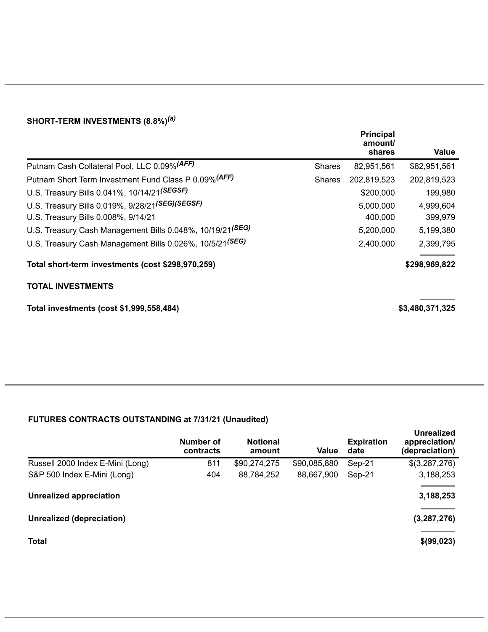#### **SHORT-TERM INVESTMENTS (8.8%)** *(a)*

|                                                                       |               | <b>Principal</b><br>amount/<br>shares | Value           |
|-----------------------------------------------------------------------|---------------|---------------------------------------|-----------------|
| Putnam Cash Collateral Pool, LLC 0.09% (AFF)                          | <b>Shares</b> | 82,951,561                            | \$82,951,561    |
| Putnam Short Term Investment Fund Class P 0.09% (AFF)                 | <b>Shares</b> | 202,819,523                           | 202,819,523     |
| U.S. Treasury Bills 0.041%, 10/14/21(SEGSF)                           |               | \$200,000                             | 199,980         |
| U.S. Treasury Bills 0.019%, 9/28/21 (SEG) (SEGSF)                     |               | 5,000,000                             | 4,999,604       |
| U.S. Treasury Bills 0.008%, 9/14/21                                   |               | 400,000                               | 399,979         |
| U.S. Treasury Cash Management Bills 0.048%, 10/19/21 <sup>(SEG)</sup> |               | 5,200,000                             | 5,199,380       |
| U.S. Treasury Cash Management Bills 0.026%, 10/5/21 <sup>(SEG)</sup>  |               | 2,400,000                             | 2,399,795       |
| Total short-term investments (cost \$298,970,259)                     |               |                                       | \$298,969,822   |
| <b>TOTAL INVESTMENTS</b>                                              |               |                                       |                 |
| Total investments (cost \$1,999,558,484)                              |               |                                       | \$3,480,371,325 |

## **FUTURES CONTRACTS OUTSTANDING at 7/31/21 (Unaudited)**

|                                  | Number of<br>contracts | <b>Notional</b><br>amount | Value        | <b>Expiration</b><br>date | <b>Unrealized</b><br>appreciation/<br>(depreciation) |
|----------------------------------|------------------------|---------------------------|--------------|---------------------------|------------------------------------------------------|
| Russell 2000 Index E-Mini (Long) | 811                    | \$90,274,275              | \$90,085,880 | Sep-21                    | \$(3,287,276)                                        |
| S&P 500 Index E-Mini (Long)      | 404                    | 88,784,252                | 88,667,900   | Sep-21                    | 3,188,253                                            |
| <b>Unrealized appreciation</b>   |                        |                           |              |                           | 3,188,253                                            |
| Unrealized (depreciation)        |                        |                           |              |                           | (3, 287, 276)                                        |
| <b>Total</b>                     |                        |                           |              |                           | \$(99,023)                                           |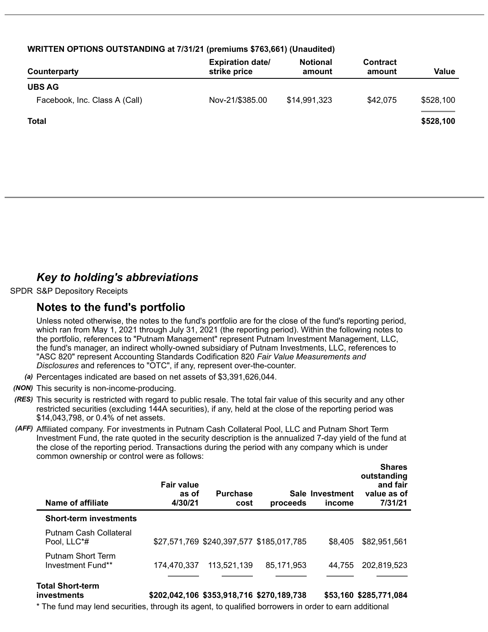| WRITTEN OPTIONS OUTSTANDING at 7/31/21 (premiums \$763,661) (Unaudited) |  |
|-------------------------------------------------------------------------|--|
|-------------------------------------------------------------------------|--|

| Counterparty                  | <b>Expiration date/</b><br>strike price | <b>Notional</b><br>amount | <b>Contract</b><br>amount | Value     |
|-------------------------------|-----------------------------------------|---------------------------|---------------------------|-----------|
| <b>UBS AG</b>                 |                                         |                           |                           |           |
| Facebook, Inc. Class A (Call) | Nov-21/\$385.00                         | \$14,991,323              | \$42,075                  | \$528,100 |
| <b>Total</b>                  |                                         |                           |                           | \$528,100 |
|                               |                                         |                           |                           |           |

# *Key to holding's abbreviations*

SPDR S&P Depository Receipts

### **Notes to the fund's portfolio**

Unless noted otherwise, the notes to the fund's portfolio are for the close of the fund's reporting period, which ran from May 1, 2021 through July 31, 2021 (the reporting period). Within the following notes to the portfolio, references to "Putnam Management" represent Putnam Investment Management, LLC, the fund's manager, an indirect wholly-owned subsidiary of Putnam Investments, LLC, references to "ASC 820" represent Accounting Standards Codification 820 *Fair Value Measurements and Disclosures* and references to "OTC", if any, represent over-the-counter.

- *(a)* Percentages indicated are based on net assets of \$3,391,626,044.
- *(NON)* This security is non-income-producing.
- *(RES)* This security is restricted with regard to public resale. The total fair value of this security and any other restricted securities (excluding 144A securities), if any, held at the close of the reporting period was \$14,043,798, or 0.4% of net assets.
- *(AFF)* Affiliated company. For investments in Putnam Cash Collateral Pool, LLC and Putnam Short Term Investment Fund, the rate quoted in the security description is the annualized 7-day yield of the fund at the close of the reporting period. Transactions during the period with any company which is under common ownership or control were as follows:

| Name of affiliate                      | <b>Fair value</b><br>as of<br>4/30/21 | <b>Purchase</b><br>cost | proceeds                                 | Sale Investment<br>income | 311 di US<br>outstanding<br>and fair<br>value as of<br>7/31/21 |
|----------------------------------------|---------------------------------------|-------------------------|------------------------------------------|---------------------------|----------------------------------------------------------------|
| <b>Short-term investments</b>          |                                       |                         |                                          |                           |                                                                |
| Putnam Cash Collateral<br>Pool, LLC*#  |                                       |                         | \$27,571,769 \$240,397,577 \$185,017,785 | \$8.405                   | \$82,951,561                                                   |
| Putnam Short Term<br>Investment Fund** | 174,470,337                           | 113,521,139             | 85,171,953                               | 44.755                    | 202,819,523                                                    |
| <b>Total Short-term</b>                |                                       |                         |                                          |                           |                                                                |

**investments \$202,042,106 \$353,918,716 \$270,189,738 \$53,160 \$285,771,084**

**Shares**

\* The fund may lend securities, through its agent, to qualified borrowers in order to earn additional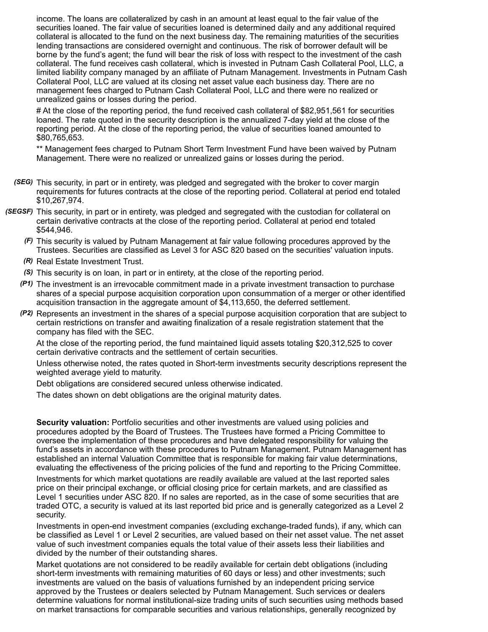income. The loans are collateralized by cash in an amount at least equal to the fair value of the securities loaned. The fair value of securities loaned is determined daily and any additional required collateral is allocated to the fund on the next business day. The remaining maturities of the securities lending transactions are considered overnight and continuous. The risk of borrower default will be borne by the fund's agent; the fund will bear the risk of loss with respect to the investment of the cash collateral. The fund receives cash collateral, which is invested in Putnam Cash Collateral Pool, LLC, a limited liability company managed by an affiliate of Putnam Management. Investments in Putnam Cash Collateral Pool, LLC are valued at its closing net asset value each business day. There are no management fees charged to Putnam Cash Collateral Pool, LLC and there were no realized or unrealized gains or losses during the period.

# At the close of the reporting period, the fund received cash collateral of \$82,951,561 for securities loaned. The rate quoted in the security description is the annualized 7-day yield at the close of the reporting period. At the close of the reporting period, the value of securities loaned amounted to \$80,765,653.

\*\* Management fees charged to Putnam Short Term Investment Fund have been waived by Putnam Management. There were no realized or unrealized gains or losses during the period.

- *(SEG)* This security, in part or in entirety, was pledged and segregated with the broker to cover margin requirements for futures contracts at the close of the reporting period. Collateral at period end totaled \$10,267,974.
- *(SEGSF)* This security, in part or in entirety, was pledged and segregated with the custodian for collateral on certain derivative contracts at the close of the reporting period. Collateral at period end totaled \$544,946.
	- *(F)* This security is valued by Putnam Management at fair value following procedures approved by the Trustees. Securities are classified as Level 3 for ASC 820 based on the securities' valuation inputs.
	- *(R)* Real Estate Investment Trust.
	- *(S)* This security is on loan, in part or in entirety, at the close of the reporting period.
	- *(P1)* The investment is an irrevocable commitment made in a private investment transaction to purchase shares of a special purpose acquisition corporation upon consummation of a merger or other identified acquisition transaction in the aggregate amount of \$4,113,650, the deferred settlement.
	- *(P2)* Represents an investment in the shares of a special purpose acquisition corporation that are subject to certain restrictions on transfer and awaiting finalization of a resale registration statement that the company has filed with the SEC.

At the close of the reporting period, the fund maintained liquid assets totaling \$20,312,525 to cover certain derivative contracts and the settlement of certain securities.

Unless otherwise noted, the rates quoted in Short-term investments security descriptions represent the weighted average yield to maturity.

Debt obligations are considered secured unless otherwise indicated.

The dates shown on debt obligations are the original maturity dates.

**Security valuation:** Portfolio securities and other investments are valued using policies and procedures adopted by the Board of Trustees. The Trustees have formed a Pricing Committee to oversee the implementation of these procedures and have delegated responsibility for valuing the fund's assets in accordance with these procedures to Putnam Management. Putnam Management has established an internal Valuation Committee that is responsible for making fair value determinations, evaluating the effectiveness of the pricing policies of the fund and reporting to the Pricing Committee.

Investments for which market quotations are readily available are valued at the last reported sales price on their principal exchange, or official closing price for certain markets, and are classified as Level 1 securities under ASC 820. If no sales are reported, as in the case of some securities that are traded OTC, a security is valued at its last reported bid price and is generally categorized as a Level 2 security.

Investments in open-end investment companies (excluding exchange-traded funds), if any, which can be classified as Level 1 or Level 2 securities, are valued based on their net asset value. The net asset value of such investment companies equals the total value of their assets less their liabilities and divided by the number of their outstanding shares.

Market quotations are not considered to be readily available for certain debt obligations (including short-term investments with remaining maturities of 60 days or less) and other investments; such investments are valued on the basis of valuations furnished by an independent pricing service approved by the Trustees or dealers selected by Putnam Management. Such services or dealers determine valuations for normal institutional-size trading units of such securities using methods based on market transactions for comparable securities and various relationships, generally recognized by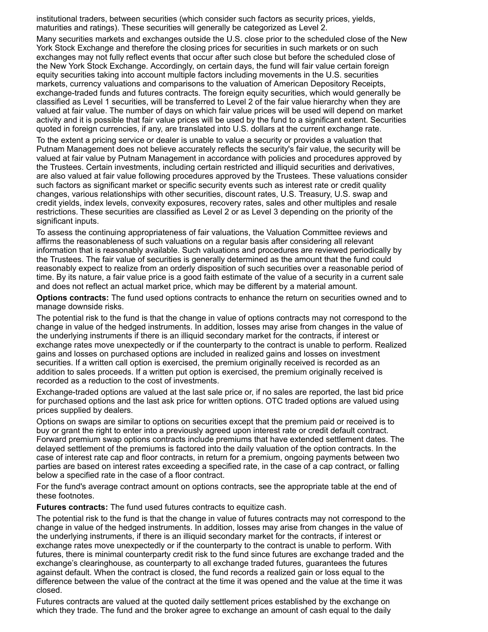institutional traders, between securities (which consider such factors as security prices, yields, maturities and ratings). These securities will generally be categorized as Level 2.

Many securities markets and exchanges outside the U.S. close prior to the scheduled close of the New York Stock Exchange and therefore the closing prices for securities in such markets or on such exchanges may not fully reflect events that occur after such close but before the scheduled close of the New York Stock Exchange. Accordingly, on certain days, the fund will fair value certain foreign equity securities taking into account multiple factors including movements in the U.S. securities markets, currency valuations and comparisons to the valuation of American Depository Receipts, exchange-traded funds and futures contracts. The foreign equity securities, which would generally be classified as Level 1 securities, will be transferred to Level 2 of the fair value hierarchy when they are valued at fair value. The number of days on which fair value prices will be used will depend on market activity and it is possible that fair value prices will be used by the fund to a significant extent. Securities quoted in foreign currencies, if any, are translated into U.S. dollars at the current exchange rate.

To the extent a pricing service or dealer is unable to value a security or provides a valuation that Putnam Management does not believe accurately reflects the security's fair value, the security will be valued at fair value by Putnam Management in accordance with policies and procedures approved by the Trustees. Certain investments, including certain restricted and illiquid securities and derivatives, are also valued at fair value following procedures approved by the Trustees. These valuations consider such factors as significant market or specific security events such as interest rate or credit quality changes, various relationships with other securities, discount rates, U.S. Treasury, U.S. swap and credit yields, index levels, convexity exposures, recovery rates, sales and other multiples and resale restrictions. These securities are classified as Level 2 or as Level 3 depending on the priority of the significant inputs.

To assess the continuing appropriateness of fair valuations, the Valuation Committee reviews and affirms the reasonableness of such valuations on a regular basis after considering all relevant information that is reasonably available. Such valuations and procedures are reviewed periodically by the Trustees. The fair value of securities is generally determined as the amount that the fund could reasonably expect to realize from an orderly disposition of such securities over a reasonable period of time. By its nature, a fair value price is a good faith estimate of the value of a security in a current sale and does not reflect an actual market price, which may be different by a material amount.

**Options contracts:** The fund used options contracts to enhance the return on securities owned and to manage downside risks.

The potential risk to the fund is that the change in value of options contracts may not correspond to the change in value of the hedged instruments. In addition, losses may arise from changes in the value of the underlying instruments if there is an illiquid secondary market for the contracts, if interest or exchange rates move unexpectedly or if the counterparty to the contract is unable to perform. Realized gains and losses on purchased options are included in realized gains and losses on investment securities. If a written call option is exercised, the premium originally received is recorded as an addition to sales proceeds. If a written put option is exercised, the premium originally received is recorded as a reduction to the cost of investments.

Exchange-traded options are valued at the last sale price or, if no sales are reported, the last bid price for purchased options and the last ask price for written options. OTC traded options are valued using prices supplied by dealers.

Options on swaps are similar to options on securities except that the premium paid or received is to buy or grant the right to enter into a previously agreed upon interest rate or credit default contract. Forward premium swap options contracts include premiums that have extended settlement dates. The delayed settlement of the premiums is factored into the daily valuation of the option contracts. In the case of interest rate cap and floor contracts, in return for a premium, ongoing payments between two parties are based on interest rates exceeding a specified rate, in the case of a cap contract, or falling below a specified rate in the case of a floor contract.

For the fund's average contract amount on options contracts, see the appropriate table at the end of these footnotes.

**Futures contracts:** The fund used futures contracts to equitize cash.

The potential risk to the fund is that the change in value of futures contracts may not correspond to the change in value of the hedged instruments. In addition, losses may arise from changes in the value of the underlying instruments, if there is an illiquid secondary market for the contracts, if interest or exchange rates move unexpectedly or if the counterparty to the contract is unable to perform. With futures, there is minimal counterparty credit risk to the fund since futures are exchange traded and the exchange's clearinghouse, as counterparty to all exchange traded futures, guarantees the futures against default. When the contract is closed, the fund records a realized gain or loss equal to the difference between the value of the contract at the time it was opened and the value at the time it was closed.

Futures contracts are valued at the quoted daily settlement prices established by the exchange on which they trade. The fund and the broker agree to exchange an amount of cash equal to the daily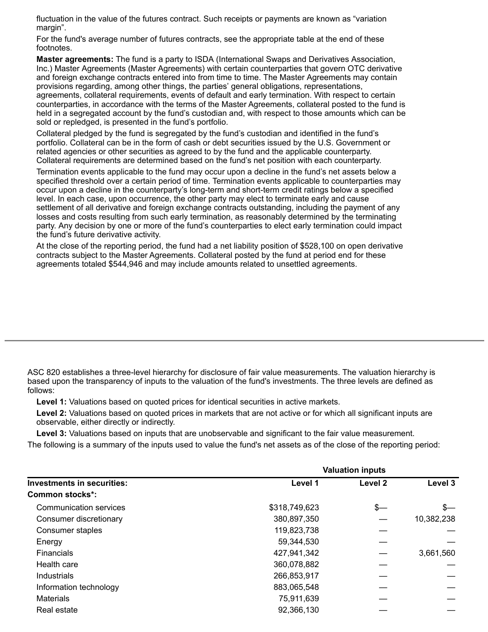fluctuation in the value of the futures contract. Such receipts or payments are known as "variation margin".

For the fund's average number of futures contracts, see the appropriate table at the end of these footnotes.

**Master agreements:** The fund is a party to ISDA (International Swaps and Derivatives Association, Inc.) Master Agreements (Master Agreements) with certain counterparties that govern OTC derivative and foreign exchange contracts entered into from time to time. The Master Agreements may contain provisions regarding, among other things, the parties' general obligations, representations, agreements, collateral requirements, events of default and early termination. With respect to certain counterparties, in accordance with the terms of the Master Agreements, collateral posted to the fund is held in a segregated account by the fund's custodian and, with respect to those amounts which can be sold or repledged, is presented in the fund's portfolio.

Collateral pledged by the fund is segregated by the fund's custodian and identified in the fund's portfolio. Collateral can be in the form of cash or debt securities issued by the U.S. Government or related agencies or other securities as agreed to by the fund and the applicable counterparty. Collateral requirements are determined based on the fund's net position with each counterparty.

Termination events applicable to the fund may occur upon a decline in the fund's net assets below a specified threshold over a certain period of time. Termination events applicable to counterparties may occur upon a decline in the counterparty's long-term and short-term credit ratings below a specified level. In each case, upon occurrence, the other party may elect to terminate early and cause settlement of all derivative and foreign exchange contracts outstanding, including the payment of any losses and costs resulting from such early termination, as reasonably determined by the terminating party. Any decision by one or more of the fund's counterparties to elect early termination could impact the fund's future derivative activity.

At the close of the reporting period, the fund had a net liability position of \$528,100 on open derivative contracts subject to the Master Agreements. Collateral posted by the fund at period end for these agreements totaled \$544,946 and may include amounts related to unsettled agreements.

ASC 820 establishes a three-level hierarchy for disclosure of fair value measurements. The valuation hierarchy is based upon the transparency of inputs to the valuation of the fund's investments. The three levels are defined as follows:

**Level 1:** Valuations based on quoted prices for identical securities in active markets.

**Level 2:** Valuations based on quoted prices in markets that are not active or for which all significant inputs are observable, either directly or indirectly.

**Level 3:** Valuations based on inputs that are unobservable and significant to the fair value measurement.

The following is a summary of the inputs used to value the fund's net assets as of the close of the reporting period:

|                                   | <b>Valuation inputs</b> |                    |            |  |
|-----------------------------------|-------------------------|--------------------|------------|--|
| <b>Investments in securities:</b> | Level 1                 | Level <sub>2</sub> | Level 3    |  |
| Common stocks*:                   |                         |                    |            |  |
| Communication services            | \$318,749,623           | $s-$               | \$—        |  |
| Consumer discretionary            | 380,897,350             |                    | 10,382,238 |  |
| Consumer staples                  | 119,823,738             |                    |            |  |
| Energy                            | 59,344,530              |                    |            |  |
| <b>Financials</b>                 | 427,941,342             |                    | 3,661,560  |  |
| Health care                       | 360,078,882             |                    |            |  |
| Industrials                       | 266,853,917             |                    |            |  |
| Information technology            | 883,065,548             |                    |            |  |
| <b>Materials</b>                  | 75,911,639              |                    |            |  |
| Real estate                       | 92,366,130              |                    |            |  |